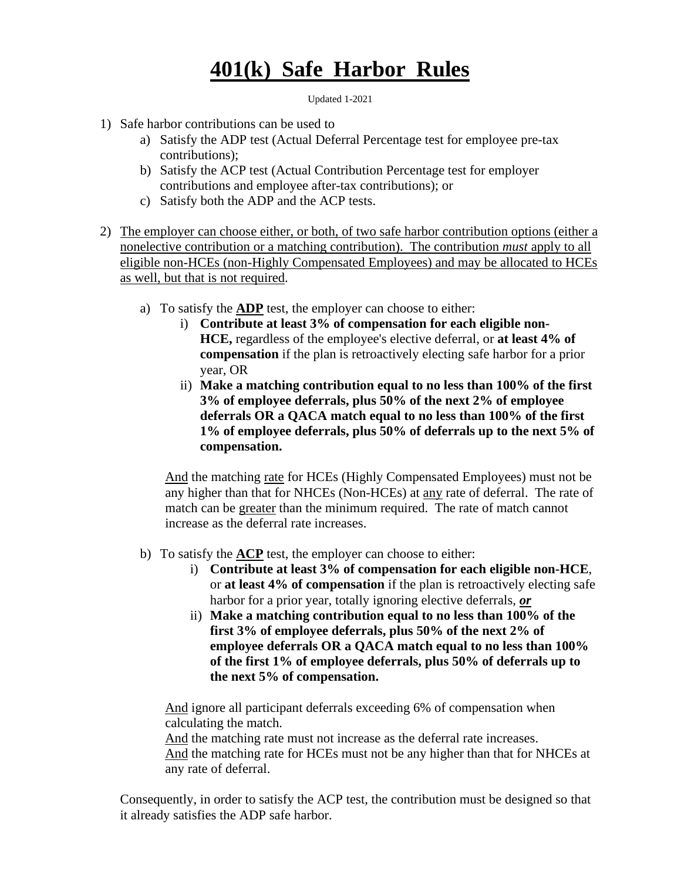## **401(k) Safe Harbor Rules**

Updated 1-2021

- 1) Safe harbor contributions can be used to
	- a) Satisfy the ADP test (Actual Deferral Percentage test for employee pre-tax contributions);
	- b) Satisfy the ACP test (Actual Contribution Percentage test for employer contributions and employee after-tax contributions); or
	- c) Satisfy both the ADP and the ACP tests.
- 2) The employer can choose either, or both, of two safe harbor contribution options (either a nonelective contribution or a matching contribution). The contribution *must* apply to all eligible non-HCEs (non-Highly Compensated Employees) and may be allocated to HCEs as well, but that is not required.
	- a) To satisfy the **ADP** test, the employer can choose to either:
		- i) **Contribute at least 3% of compensation for each eligible non-HCE,** regardless of the employee's elective deferral, or **at least 4% of compensation** if the plan is retroactively electing safe harbor for a prior year, OR
		- ii) **Make a matching contribution equal to no less than 100% of the first 3% of employee deferrals, plus 50% of the next 2% of employee deferrals OR a QACA match equal to no less than 100% of the first 1% of employee deferrals, plus 50% of deferrals up to the next 5% of compensation.**

And the matching rate for HCEs (Highly Compensated Employees) must not be any higher than that for NHCEs (Non-HCEs) at any rate of deferral. The rate of match can be greater than the minimum required. The rate of match cannot increase as the deferral rate increases.

- b) To satisfy the **ACP** test, the employer can choose to either:
	- i) **Contribute at least 3% of compensation for each eligible non-HCE**, or **at least 4% of compensation** if the plan is retroactively electing safe harbor for a prior year, totally ignoring elective deferrals, *or*
	- ii) **Make a matching contribution equal to no less than 100% of the first 3% of employee deferrals, plus 50% of the next 2% of employee deferrals OR a QACA match equal to no less than 100% of the first 1% of employee deferrals, plus 50% of deferrals up to the next 5% of compensation.**

And ignore all participant deferrals exceeding 6% of compensation when calculating the match.

And the matching rate must not increase as the deferral rate increases.

And the matching rate for HCEs must not be any higher than that for NHCEs at any rate of deferral.

Consequently, in order to satisfy the ACP test, the contribution must be designed so that it already satisfies the ADP safe harbor.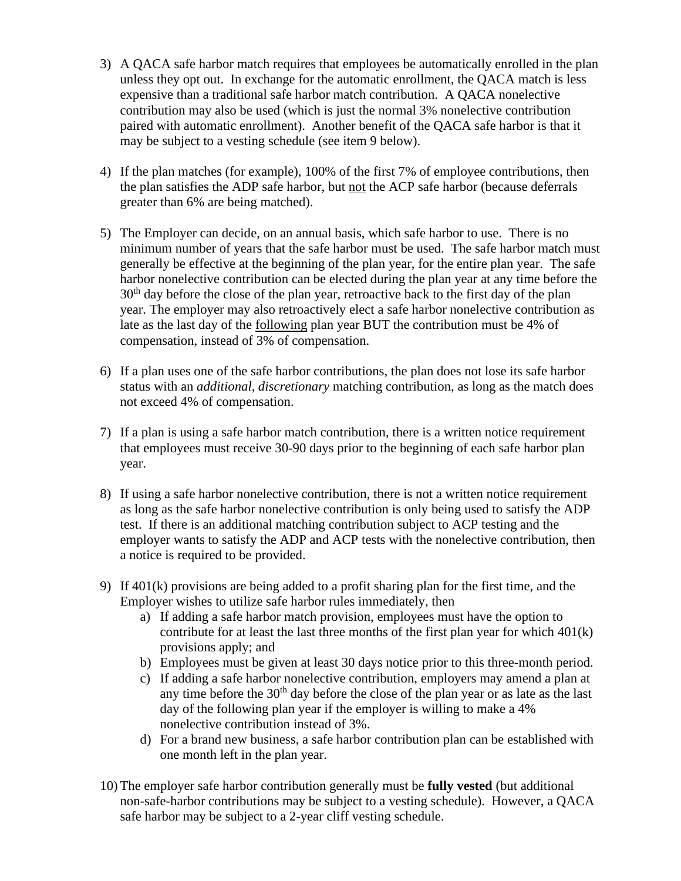- 3) A QACA safe harbor match requires that employees be automatically enrolled in the plan unless they opt out. In exchange for the automatic enrollment, the QACA match is less expensive than a traditional safe harbor match contribution. A QACA nonelective contribution may also be used (which is just the normal 3% nonelective contribution paired with automatic enrollment). Another benefit of the QACA safe harbor is that it may be subject to a vesting schedule (see item 9 below).
- 4) If the plan matches (for example), 100% of the first 7% of employee contributions, then the plan satisfies the ADP safe harbor, but not the ACP safe harbor (because deferrals greater than 6% are being matched).
- 5) The Employer can decide, on an annual basis, which safe harbor to use. There is no minimum number of years that the safe harbor must be used. The safe harbor match must generally be effective at the beginning of the plan year, for the entire plan year. The safe harbor nonelective contribution can be elected during the plan year at any time before the  $30<sup>th</sup>$  day before the close of the plan year, retroactive back to the first day of the plan year. The employer may also retroactively elect a safe harbor nonelective contribution as late as the last day of the following plan year BUT the contribution must be 4% of compensation, instead of 3% of compensation.
- 6) If a plan uses one of the safe harbor contributions, the plan does not lose its safe harbor status with an *additional*, *discretionary* matching contribution, as long as the match does not exceed 4% of compensation.
- 7) If a plan is using a safe harbor match contribution, there is a written notice requirement that employees must receive 30-90 days prior to the beginning of each safe harbor plan year.
- 8) If using a safe harbor nonelective contribution, there is not a written notice requirement as long as the safe harbor nonelective contribution is only being used to satisfy the ADP test. If there is an additional matching contribution subject to ACP testing and the employer wants to satisfy the ADP and ACP tests with the nonelective contribution, then a notice is required to be provided.
- 9) If 401(k) provisions are being added to a profit sharing plan for the first time, and the Employer wishes to utilize safe harbor rules immediately, then
	- a) If adding a safe harbor match provision, employees must have the option to contribute for at least the last three months of the first plan year for which 401(k) provisions apply; and
	- b) Employees must be given at least 30 days notice prior to this three-month period.
	- c) If adding a safe harbor nonelective contribution, employers may amend a plan at any time before the 30<sup>th</sup> day before the close of the plan year or as late as the last day of the following plan year if the employer is willing to make a 4% nonelective contribution instead of 3%.
	- d) For a brand new business, a safe harbor contribution plan can be established with one month left in the plan year.
- 10) The employer safe harbor contribution generally must be **fully vested** (but additional non-safe-harbor contributions may be subject to a vesting schedule). However, a QACA safe harbor may be subject to a 2-year cliff vesting schedule.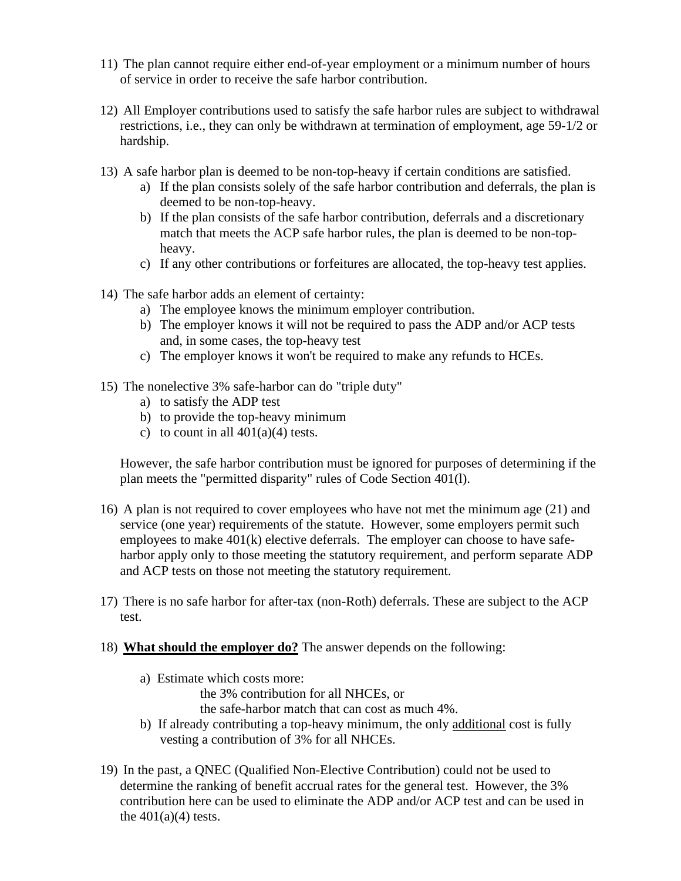- 11) The plan cannot require either end-of-year employment or a minimum number of hours of service in order to receive the safe harbor contribution.
- 12) All Employer contributions used to satisfy the safe harbor rules are subject to withdrawal restrictions, i.e., they can only be withdrawn at termination of employment, age 59-1/2 or hardship.
- 13) A safe harbor plan is deemed to be non-top-heavy if certain conditions are satisfied.
	- a) If the plan consists solely of the safe harbor contribution and deferrals, the plan is deemed to be non-top-heavy.
	- b) If the plan consists of the safe harbor contribution, deferrals and a discretionary match that meets the ACP safe harbor rules, the plan is deemed to be non-topheavy.
	- c) If any other contributions or forfeitures are allocated, the top-heavy test applies.
- 14) The safe harbor adds an element of certainty:
	- a) The employee knows the minimum employer contribution.
	- b) The employer knows it will not be required to pass the ADP and/or ACP tests and, in some cases, the top-heavy test
	- c) The employer knows it won't be required to make any refunds to HCEs.
- 15) The nonelective 3% safe-harbor can do "triple duty"
	- a) to satisfy the ADP test
	- b) to provide the top-heavy minimum
	- c) to count in all  $401(a)(4)$  tests.

However, the safe harbor contribution must be ignored for purposes of determining if the plan meets the "permitted disparity" rules of Code Section 401(l).

- 16) A plan is not required to cover employees who have not met the minimum age (21) and service (one year) requirements of the statute. However, some employers permit such employees to make 401(k) elective deferrals. The employer can choose to have safeharbor apply only to those meeting the statutory requirement, and perform separate ADP and ACP tests on those not meeting the statutory requirement.
- 17) There is no safe harbor for after-tax (non-Roth) deferrals. These are subject to the ACP test.
- 18) **What should the employer do?** The answer depends on the following:
	- a) Estimate which costs more:
		- the 3% contribution for all NHCEs, or

the safe-harbor match that can cost as much 4%.

- b) If already contributing a top-heavy minimum, the only additional cost is fully vesting a contribution of 3% for all NHCEs.
- 19) In the past, a QNEC (Qualified Non-Elective Contribution) could not be used to determine the ranking of benefit accrual rates for the general test. However, the 3% contribution here can be used to eliminate the ADP and/or ACP test and can be used in the  $401(a)(4)$  tests.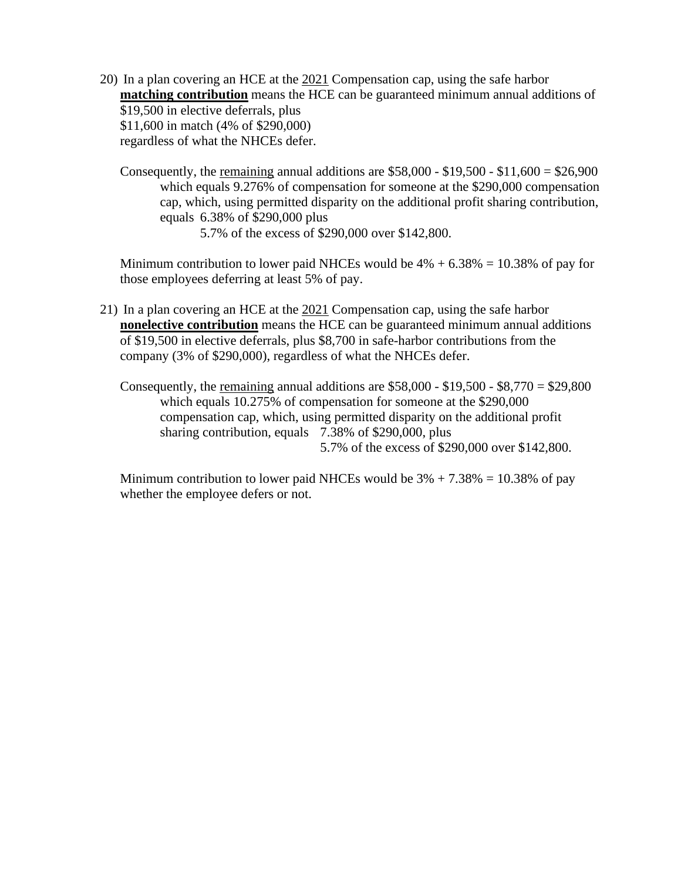- 20) In a plan covering an HCE at the 2021 Compensation cap, using the safe harbor **matching contribution** means the HCE can be guaranteed minimum annual additions of \$19,500 in elective deferrals, plus \$11,600 in match (4% of \$290,000) regardless of what the NHCEs defer.
	- Consequently, the remaining annual additions are  $$58,000 $19,500 $11,600 = $26,900$ which equals 9.276% of compensation for someone at the \$290,000 compensation cap, which, using permitted disparity on the additional profit sharing contribution, equals 6.38% of \$290,000 plus

5.7% of the excess of \$290,000 over \$142,800.

Minimum contribution to lower paid NHCEs would be  $4\% + 6.38\% = 10.38\%$  of pay for those employees deferring at least 5% of pay.

- 21) In a plan covering an HCE at the 2021 Compensation cap, using the safe harbor **nonelective contribution** means the HCE can be guaranteed minimum annual additions of \$19,500 in elective deferrals, plus \$8,700 in safe-harbor contributions from the company (3% of \$290,000), regardless of what the NHCEs defer.
	- Consequently, the remaining annual additions are  $$58,000 $19,500 $8,770 = $29,800$ which equals 10.275% of compensation for someone at the \$290,000 compensation cap, which, using permitted disparity on the additional profit sharing contribution, equals 7.38% of \$290,000, plus 5.7% of the excess of \$290,000 over \$142,800.

Minimum contribution to lower paid NHCEs would be  $3\% + 7.38\% = 10.38\%$  of pay whether the employee defers or not.